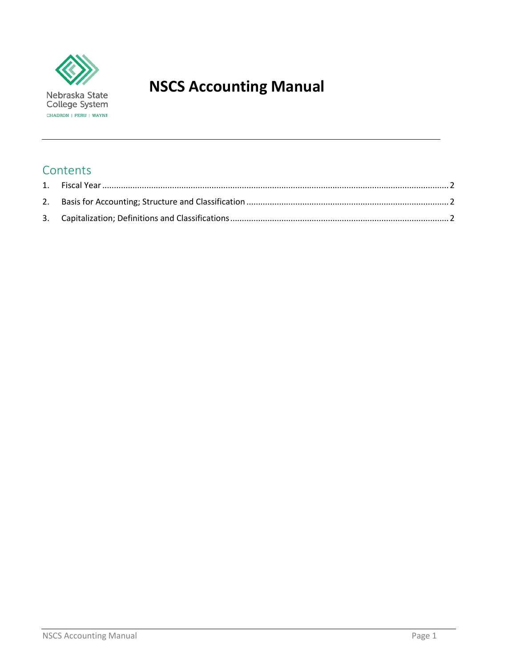

# **NSCS Accounting Manual**

## **Contents**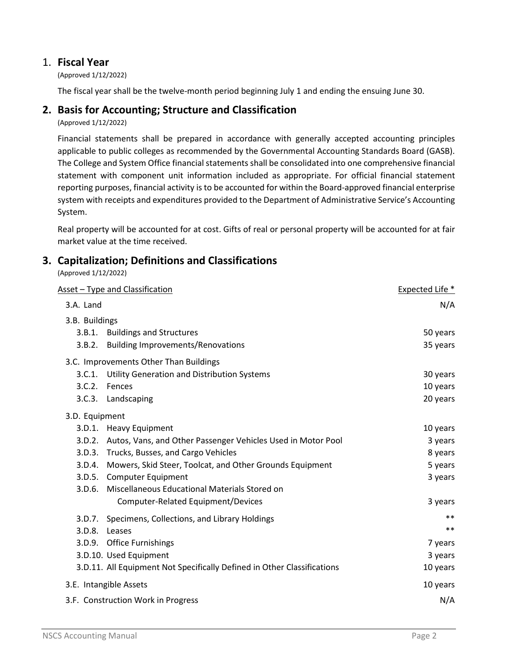## <span id="page-1-0"></span>1. **Fiscal Year**

(Approved 1/12/2022)

The fiscal year shall be the twelve-month period beginning July 1 and ending the ensuing June 30.

### <span id="page-1-1"></span>**2. Basis for Accounting; Structure and Classification**

(Approved 1/12/2022)

Financial statements shall be prepared in accordance with generally accepted accounting principles applicable to public colleges as recommended by the Governmental Accounting Standards Board (GASB). The College and System Office financial statements shall be consolidated into one comprehensive financial statement with component unit information included as appropriate. For official financial statement reporting purposes, financial activity is to be accounted for within the Board-approved financial enterprise system with receipts and expenditures provided to the Department of Administrative Service's Accounting System.

Real property will be accounted for at cost. Gifts of real or personal property will be accounted for at fair market value at the time received.

## <span id="page-1-2"></span>**3. Capitalization; Definitions and Classifications**

(Approved 1/12/2022)

| Asset - Type and Classification    | Expected Life *                                                         |          |
|------------------------------------|-------------------------------------------------------------------------|----------|
| 3.A. Land                          | N/A                                                                     |          |
| 3.B. Buildings                     |                                                                         |          |
|                                    | 3.B.1. Buildings and Structures                                         | 50 years |
| 3.B.2.                             | <b>Building Improvements/Renovations</b>                                | 35 years |
|                                    | 3.C. Improvements Other Than Buildings                                  |          |
| 3.C.1.                             | <b>Utility Generation and Distribution Systems</b>                      | 30 years |
| 3.C.2.                             | Fences                                                                  | 10 years |
|                                    | 3.C.3. Landscaping                                                      | 20 years |
| 3.D. Equipment                     |                                                                         |          |
|                                    | 3.D.1. Heavy Equipment                                                  | 10 years |
|                                    | 3.D.2. Autos, Vans, and Other Passenger Vehicles Used in Motor Pool     | 3 years  |
| 3.D.3.                             | Trucks, Busses, and Cargo Vehicles                                      | 8 years  |
|                                    | 3.D.4. Mowers, Skid Steer, Toolcat, and Other Grounds Equipment         | 5 years  |
|                                    | 3.D.5. Computer Equipment                                               | 3 years  |
|                                    | 3.D.6. Miscellaneous Educational Materials Stored on                    |          |
|                                    | Computer-Related Equipment/Devices                                      | 3 years  |
| 3.D.7.                             | Specimens, Collections, and Library Holdings                            | $***$    |
| 3.D.8.                             | Leases                                                                  | $***$    |
|                                    | 3.D.9. Office Furnishings                                               | 7 years  |
|                                    | 3.D.10. Used Equipment                                                  | 3 years  |
|                                    | 3.D.11. All Equipment Not Specifically Defined in Other Classifications | 10 years |
| 3.E. Intangible Assets             | 10 years                                                                |          |
| 3.F. Construction Work in Progress | N/A                                                                     |          |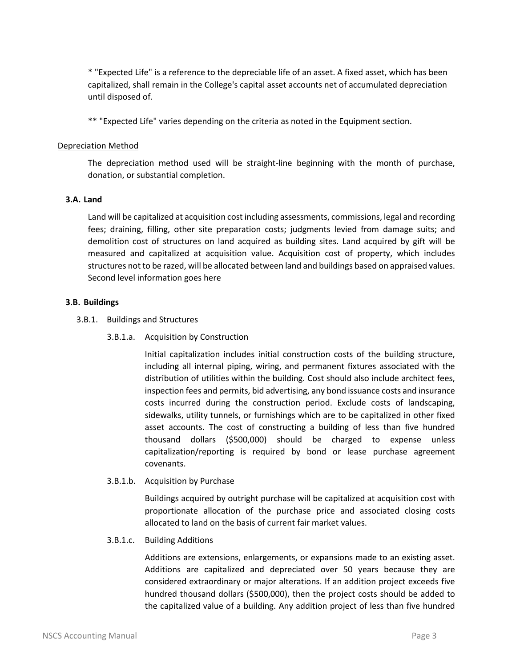\* "Expected Life" is a reference to the depreciable life of an asset. A fixed asset, which has been capitalized, shall remain in the College's capital asset accounts net of accumulated depreciation until disposed of.

\*\* "Expected Life" varies depending on the criteria as noted in the Equipment section.

#### Depreciation Method

The depreciation method used will be straight-line beginning with the month of purchase, donation, or substantial completion.

#### **3.A. Land**

Land will be capitalized at acquisition cost including assessments, commissions, legal and recording fees; draining, filling, other site preparation costs; judgments levied from damage suits; and demolition cost of structures on land acquired as building sites. Land acquired by gift will be measured and capitalized at acquisition value. Acquisition cost of property, which includes structures not to be razed, will be allocated between land and buildings based on appraised values. Second level information goes here

#### **3.B. Buildings**

- 3.B.1. Buildings and Structures
	- 3.B.1.a. Acquisition by Construction

Initial capitalization includes initial construction costs of the building structure, including all internal piping, wiring, and permanent fixtures associated with the distribution of utilities within the building. Cost should also include architect fees, inspection fees and permits, bid advertising, any bond issuance costs and insurance costs incurred during the construction period. Exclude costs of landscaping, sidewalks, utility tunnels, or furnishings which are to be capitalized in other fixed asset accounts. The cost of constructing a building of less than five hundred thousand dollars (\$500,000) should be charged to expense unless capitalization/reporting is required by bond or lease purchase agreement covenants.

3.B.1.b. Acquisition by Purchase

Buildings acquired by outright purchase will be capitalized at acquisition cost with proportionate allocation of the purchase price and associated closing costs allocated to land on the basis of current fair market values.

#### 3.B.1.c. Building Additions

Additions are extensions, enlargements, or expansions made to an existing asset. Additions are capitalized and depreciated over 50 years because they are considered extraordinary or major alterations. If an addition project exceeds five hundred thousand dollars (\$500,000), then the project costs should be added to the capitalized value of a building. Any addition project of less than five hundred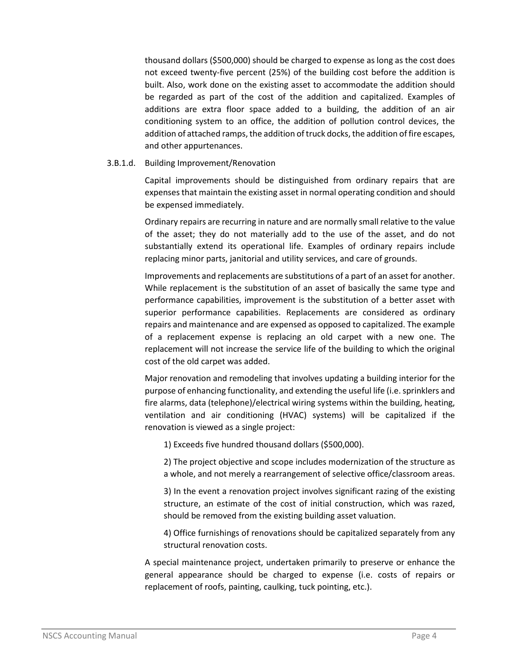thousand dollars (\$500,000) should be charged to expense as long as the cost does not exceed twenty-five percent (25%) of the building cost before the addition is built. Also, work done on the existing asset to accommodate the addition should be regarded as part of the cost of the addition and capitalized. Examples of additions are extra floor space added to a building, the addition of an air conditioning system to an office, the addition of pollution control devices, the addition of attached ramps, the addition of truck docks, the addition of fire escapes, and other appurtenances.

#### 3.B.1.d. Building Improvement/Renovation

Capital improvements should be distinguished from ordinary repairs that are expenses that maintain the existing asset in normal operating condition and should be expensed immediately.

Ordinary repairs are recurring in nature and are normally small relative to the value of the asset; they do not materially add to the use of the asset, and do not substantially extend its operational life. Examples of ordinary repairs include replacing minor parts, janitorial and utility services, and care of grounds.

Improvements and replacements are substitutions of a part of an asset for another. While replacement is the substitution of an asset of basically the same type and performance capabilities, improvement is the substitution of a better asset with superior performance capabilities. Replacements are considered as ordinary repairs and maintenance and are expensed as opposed to capitalized. The example of a replacement expense is replacing an old carpet with a new one. The replacement will not increase the service life of the building to which the original cost of the old carpet was added.

Major renovation and remodeling that involves updating a building interior for the purpose of enhancing functionality, and extending the useful life (i.e. sprinklers and fire alarms, data (telephone)/electrical wiring systems within the building, heating, ventilation and air conditioning (HVAC) systems) will be capitalized if the renovation is viewed as a single project:

1) Exceeds five hundred thousand dollars (\$500,000).

2) The project objective and scope includes modernization of the structure as a whole, and not merely a rearrangement of selective office/classroom areas.

3) In the event a renovation project involves significant razing of the existing structure, an estimate of the cost of initial construction, which was razed, should be removed from the existing building asset valuation.

4) Office furnishings of renovations should be capitalized separately from any structural renovation costs.

A special maintenance project, undertaken primarily to preserve or enhance the general appearance should be charged to expense (i.e. costs of repairs or replacement of roofs, painting, caulking, tuck pointing, etc.).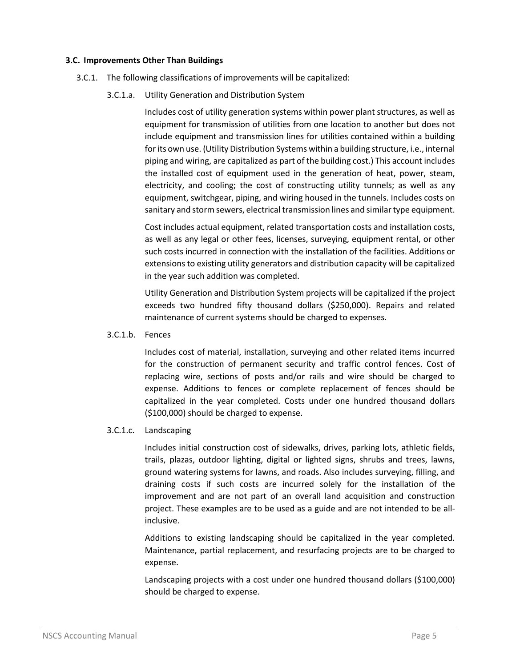#### **3.C. Improvements Other Than Buildings**

- 3.C.1. The following classifications of improvements will be capitalized:
	- 3.C.1.a. Utility Generation and Distribution System

Includes cost of utility generation systems within power plant structures, as well as equipment for transmission of utilities from one location to another but does not include equipment and transmission lines for utilities contained within a building for its own use. (Utility Distribution Systems within a building structure, i.e., internal piping and wiring, are capitalized as part of the building cost.) This account includes the installed cost of equipment used in the generation of heat, power, steam, electricity, and cooling; the cost of constructing utility tunnels; as well as any equipment, switchgear, piping, and wiring housed in the tunnels. Includes costs on sanitary and storm sewers, electrical transmission lines and similar type equipment.

Cost includes actual equipment, related transportation costs and installation costs, as well as any legal or other fees, licenses, surveying, equipment rental, or other such costs incurred in connection with the installation of the facilities. Additions or extensions to existing utility generators and distribution capacity will be capitalized in the year such addition was completed.

Utility Generation and Distribution System projects will be capitalized if the project exceeds two hundred fifty thousand dollars (\$250,000). Repairs and related maintenance of current systems should be charged to expenses.

3.C.1.b. Fences

Includes cost of material, installation, surveying and other related items incurred for the construction of permanent security and traffic control fences. Cost of replacing wire, sections of posts and/or rails and wire should be charged to expense. Additions to fences or complete replacement of fences should be capitalized in the year completed. Costs under one hundred thousand dollars (\$100,000) should be charged to expense.

#### 3.C.1.c. Landscaping

Includes initial construction cost of sidewalks, drives, parking lots, athletic fields, trails, plazas, outdoor lighting, digital or lighted signs, shrubs and trees, lawns, ground watering systems for lawns, and roads. Also includes surveying, filling, and draining costs if such costs are incurred solely for the installation of the improvement and are not part of an overall land acquisition and construction project. These examples are to be used as a guide and are not intended to be allinclusive.

Additions to existing landscaping should be capitalized in the year completed. Maintenance, partial replacement, and resurfacing projects are to be charged to expense.

Landscaping projects with a cost under one hundred thousand dollars (\$100,000) should be charged to expense.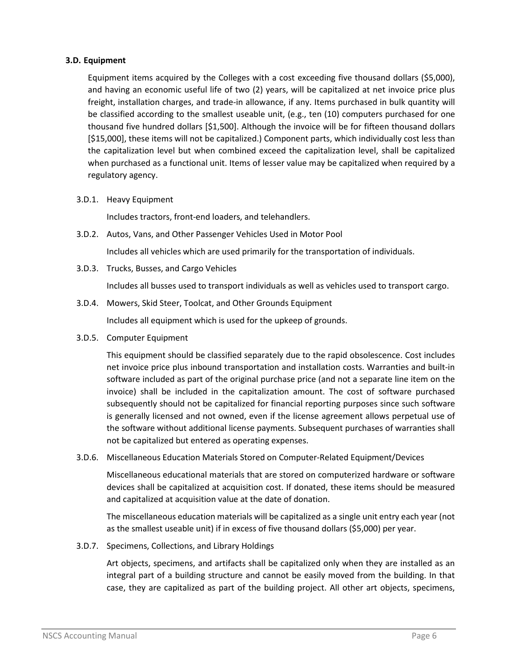#### **3.D. Equipment**

Equipment items acquired by the Colleges with a cost exceeding five thousand dollars (\$5,000), and having an economic useful life of two (2) years, will be capitalized at net invoice price plus freight, installation charges, and trade-in allowance, if any. Items purchased in bulk quantity will be classified according to the smallest useable unit, (e.g., ten (10) computers purchased for one thousand five hundred dollars [\$1,500]. Although the invoice will be for fifteen thousand dollars [\$15,000], these items will not be capitalized.) Component parts, which individually cost less than the capitalization level but when combined exceed the capitalization level, shall be capitalized when purchased as a functional unit. Items of lesser value may be capitalized when required by a regulatory agency.

3.D.1. Heavy Equipment

Includes tractors, front-end loaders, and telehandlers.

3.D.2. Autos, Vans, and Other Passenger Vehicles Used in Motor Pool

Includes all vehicles which are used primarily for the transportation of individuals.

3.D.3. Trucks, Busses, and Cargo Vehicles

Includes all busses used to transport individuals as well as vehicles used to transport cargo.

3.D.4. Mowers, Skid Steer, Toolcat, and Other Grounds Equipment

Includes all equipment which is used for the upkeep of grounds.

3.D.5. Computer Equipment

This equipment should be classified separately due to the rapid obsolescence. Cost includes net invoice price plus inbound transportation and installation costs. Warranties and built-in software included as part of the original purchase price (and not a separate line item on the invoice) shall be included in the capitalization amount. The cost of software purchased subsequently should not be capitalized for financial reporting purposes since such software is generally licensed and not owned, even if the license agreement allows perpetual use of the software without additional license payments. Subsequent purchases of warranties shall not be capitalized but entered as operating expenses.

3.D.6. Miscellaneous Education Materials Stored on Computer-Related Equipment/Devices

Miscellaneous educational materials that are stored on computerized hardware or software devices shall be capitalized at acquisition cost. If donated, these items should be measured and capitalized at acquisition value at the date of donation.

The miscellaneous education materials will be capitalized as a single unit entry each year (not as the smallest useable unit) if in excess of five thousand dollars (\$5,000) per year.

3.D.7. Specimens, Collections, and Library Holdings

Art objects, specimens, and artifacts shall be capitalized only when they are installed as an integral part of a building structure and cannot be easily moved from the building. In that case, they are capitalized as part of the building project. All other art objects, specimens,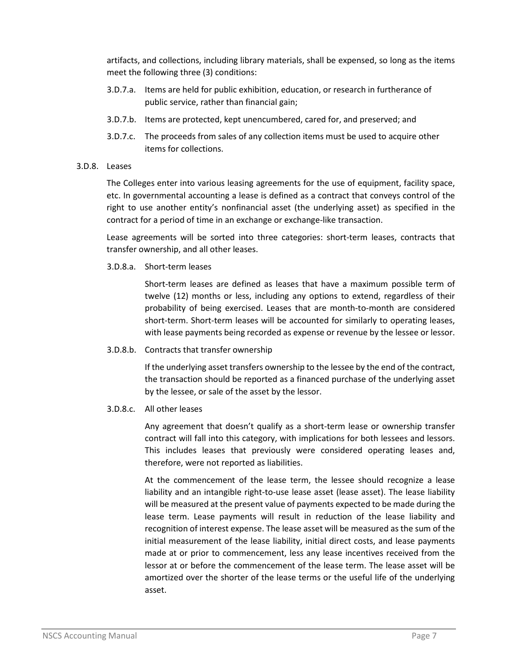artifacts, and collections, including library materials, shall be expensed, so long as the items meet the following three (3) conditions:

- 3.D.7.a. Items are held for public exhibition, education, or research in furtherance of public service, rather than financial gain;
- 3.D.7.b. Items are protected, kept unencumbered, cared for, and preserved; and
- 3.D.7.c. The proceeds from sales of any collection items must be used to acquire other items for collections.

#### 3.D.8. Leases

The Colleges enter into various leasing agreements for the use of equipment, facility space, etc. In governmental accounting a lease is defined as a contract that conveys control of the right to use another entity's nonfinancial asset (the underlying asset) as specified in the contract for a period of time in an exchange or exchange-like transaction.

Lease agreements will be sorted into three categories: short-term leases, contracts that transfer ownership, and all other leases.

3.D.8.a. Short-term leases

Short-term leases are defined as leases that have a maximum possible term of twelve (12) months or less, including any options to extend, regardless of their probability of being exercised. Leases that are month-to-month are considered short-term. Short-term leases will be accounted for similarly to operating leases, with lease payments being recorded as expense or revenue by the lessee or lessor.

3.D.8.b. Contracts that transfer ownership

If the underlying asset transfers ownership to the lessee by the end of the contract, the transaction should be reported as a financed purchase of the underlying asset by the lessee, or sale of the asset by the lessor.

3.D.8.c. All other leases

Any agreement that doesn't qualify as a short-term lease or ownership transfer contract will fall into this category, with implications for both lessees and lessors. This includes leases that previously were considered operating leases and, therefore, were not reported as liabilities.

At the commencement of the lease term, the lessee should recognize a lease liability and an intangible right-to-use lease asset (lease asset). The lease liability will be measured at the present value of payments expected to be made during the lease term. Lease payments will result in reduction of the lease liability and recognition of interest expense. The lease asset will be measured as the sum of the initial measurement of the lease liability, initial direct costs, and lease payments made at or prior to commencement, less any lease incentives received from the lessor at or before the commencement of the lease term. The lease asset will be amortized over the shorter of the lease terms or the useful life of the underlying asset.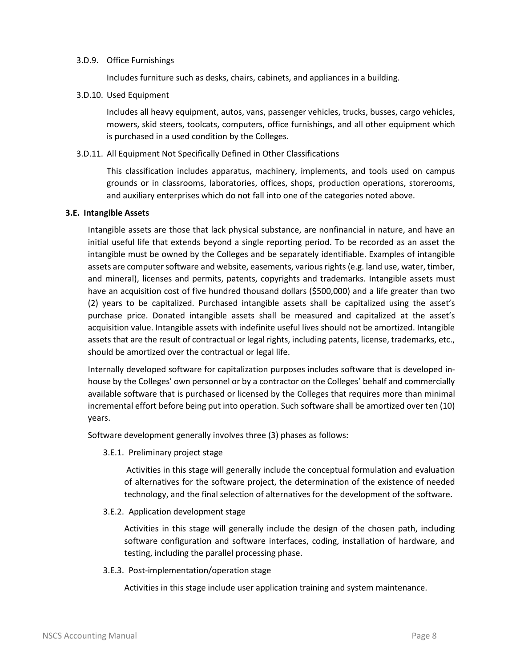#### 3.D.9. Office Furnishings

Includes furniture such as desks, chairs, cabinets, and appliances in a building.

3.D.10. Used Equipment

Includes all heavy equipment, autos, vans, passenger vehicles, trucks, busses, cargo vehicles, mowers, skid steers, toolcats, computers, office furnishings, and all other equipment which is purchased in a used condition by the Colleges.

3.D.11. All Equipment Not Specifically Defined in Other Classifications

This classification includes apparatus, machinery, implements, and tools used on campus grounds or in classrooms, laboratories, offices, shops, production operations, storerooms, and auxiliary enterprises which do not fall into one of the categories noted above.

#### **3.E. Intangible Assets**

Intangible assets are those that lack physical substance, are nonfinancial in nature, and have an initial useful life that extends beyond a single reporting period. To be recorded as an asset the intangible must be owned by the Colleges and be separately identifiable. Examples of intangible assets are computer software and website, easements, various rights (e.g. land use, water, timber, and mineral), licenses and permits, patents, copyrights and trademarks. Intangible assets must have an acquisition cost of five hundred thousand dollars (\$500,000) and a life greater than two (2) years to be capitalized. Purchased intangible assets shall be capitalized using the asset's purchase price. Donated intangible assets shall be measured and capitalized at the asset's acquisition value. Intangible assets with indefinite useful lives should not be amortized. Intangible assets that are the result of contractual or legal rights, including patents, license, trademarks, etc., should be amortized over the contractual or legal life.

Internally developed software for capitalization purposes includes software that is developed inhouse by the Colleges' own personnel or by a contractor on the Colleges' behalf and commercially available software that is purchased or licensed by the Colleges that requires more than minimal incremental effort before being put into operation. Such software shall be amortized over ten (10) years.

Software development generally involves three (3) phases as follows:

3.E.1. Preliminary project stage

Activities in this stage will generally include the conceptual formulation and evaluation of alternatives for the software project, the determination of the existence of needed technology, and the final selection of alternatives for the development of the software.

3.E.2. Application development stage

Activities in this stage will generally include the design of the chosen path, including software configuration and software interfaces, coding, installation of hardware, and testing, including the parallel processing phase.

3.E.3. Post-implementation/operation stage

Activities in this stage include user application training and system maintenance.